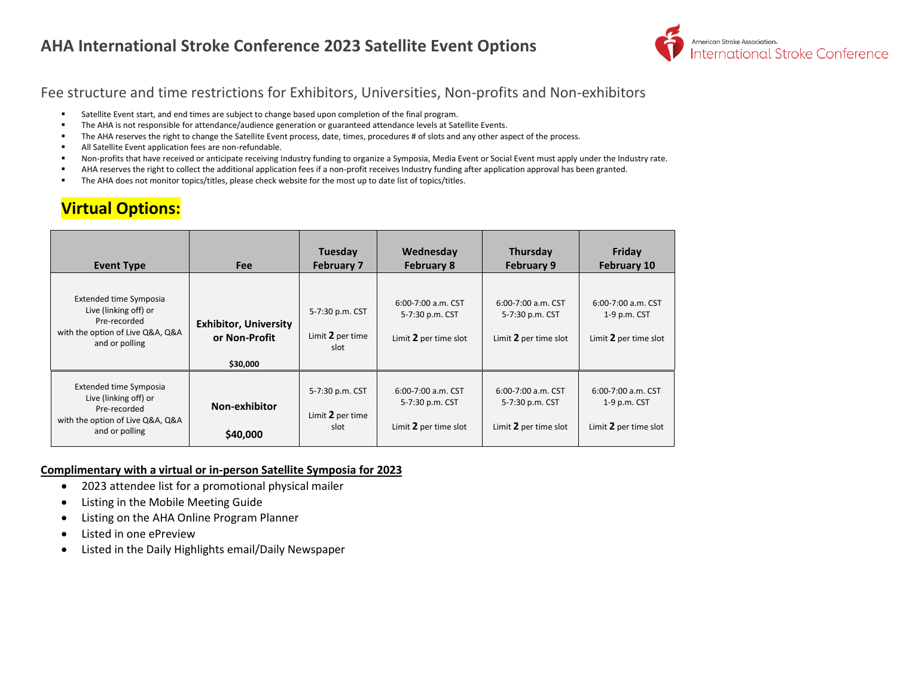### **AHA International Stroke Conference 2023 Satellite Event Options**



#### Fee structure and time restrictions for Exhibitors, Universities, Non-profits and Non-exhibitors

- Satellite Event start, and end times are subject to change based upon completion of the final program.
- The AHA is not responsible for attendance/audience generation or guaranteed attendance levels at Satellite Events.
- **•** The AHA reserves the right to change the Satellite Event process, date, times, procedures # of slots and any other aspect of the process.
- All Satellite Event application fees are non-refundable.
- Non-profits that have received or anticipate receiving Industry funding to organize a Symposia, Media Event or Social Event must apply under the Industry rate.
- AHA reserves the right to collect the additional application fees if a non-profit receives Industry funding after application approval has been granted.
- The AHA does not monitor topics/titles, please check website for the most up to date list of topics/titles.

## **Virtual Options:**

| <b>Event Type</b>                                                                                                     | <b>Fee</b>                                                | Tuesday<br><b>February 7</b>                | Wednesday<br><b>February 8</b>                                 | Thursday<br><b>February 9</b>                                  | Friday<br><b>February 10</b>                                |
|-----------------------------------------------------------------------------------------------------------------------|-----------------------------------------------------------|---------------------------------------------|----------------------------------------------------------------|----------------------------------------------------------------|-------------------------------------------------------------|
| Extended time Symposia<br>Live (linking off) or<br>Pre-recorded<br>with the option of Live Q&A, Q&A<br>and or polling | <b>Exhibitor, University</b><br>or Non-Profit<br>\$30,000 | 5-7:30 p.m. CST<br>Limit 2 per time<br>slot | 6:00-7:00 a.m. CST<br>5-7:30 p.m. CST<br>Limit 2 per time slot | 6:00-7:00 a.m. CST<br>5-7:30 p.m. CST<br>Limit 2 per time slot | 6:00-7:00 a.m. CST<br>1-9 p.m. CST<br>Limit 2 per time slot |
| Extended time Symposia<br>Live (linking off) or<br>Pre-recorded<br>with the option of Live Q&A, Q&A<br>and or polling | Non-exhibitor<br>\$40,000                                 | 5-7:30 p.m. CST<br>Limit 2 per time<br>slot | 6:00-7:00 a.m. CST<br>5-7:30 p.m. CST<br>Limit 2 per time slot | 6:00-7:00 a.m. CST<br>5-7:30 p.m. CST<br>Limit 2 per time slot | 6:00-7:00 a.m. CST<br>1-9 p.m. CST<br>Limit 2 per time slot |

#### **Complimentary with a virtual or in-person Satellite Symposia for 2023**

- 2023 attendee list for a promotional physical mailer
- Listing in the Mobile Meeting Guide
- Listing on the AHA Online Program Planner
- Listed in one ePreview
- Listed in the Daily Highlights email/Daily Newspaper